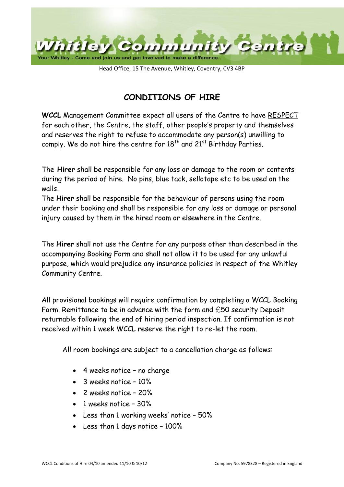**Centre** munit Come and join us and get involved to make a difference

Head Office, 15 The Avenue, Whitley, Coventry, CV3 4BP

## **CONDITIONS OF HIRE**

**WCCL** Management Committee expect all users of the Centre to have RESPECT for each other, the Centre, the staff, other people's property and themselves and reserves the right to refuse to accommodate any person(s) unwilling to comply. We do not hire the centre for  $18<sup>th</sup>$  and  $21<sup>st</sup>$  Birthday Parties.

The **Hirer** shall be responsible for any loss or damage to the room or contents during the period of hire. No pins, blue tack, sellotape etc to be used on the walls.

The **Hirer** shall be responsible for the behaviour of persons using the room under their booking and shall be responsible for any loss or damage or personal injury caused by them in the hired room or elsewhere in the Centre.

The **Hirer** shall not use the Centre for any purpose other than described in the accompanying Booking Form and shall not allow it to be used for any unlawful purpose, which would prejudice any insurance policies in respect of the Whitley Community Centre.

All provisional bookings will require confirmation by completing a WCCL Booking Form. Remittance to be in advance with the form and £50 security Deposit returnable following the end of hiring period inspection. If confirmation is not received within 1 week WCCL reserve the right to re-let the room.

All room bookings are subject to a cancellation charge as follows:

- 4 weeks notice no charge
- 3 weeks notice 10%
- 2 weeks notice 20%
- 1 weeks notice 30%
- Less than 1 working weeks' notice 50%
- Less than 1 days notice 100%